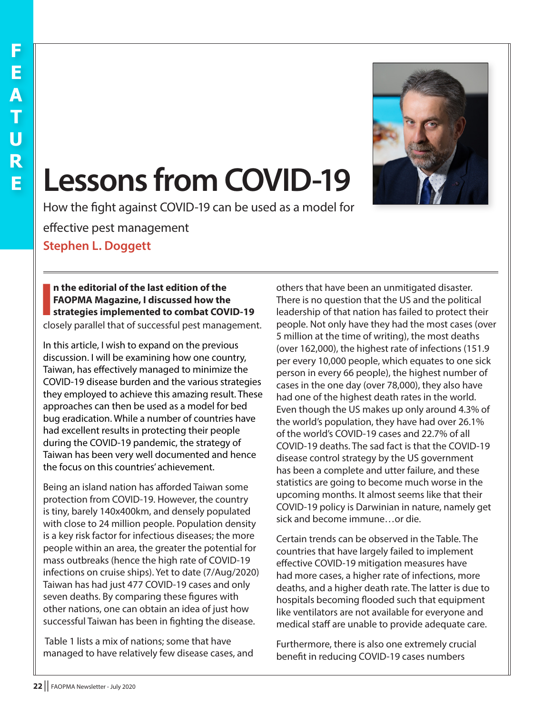

## **Lessons from COVID-19**

How the fight against COVID-19 can be used as a model for

effective pest management

**Stephen L. Doggett**

## **I n the editorial of the last edition of the FAOPMA Magazine, I discussed how the strategies implemented to combat COVID-19**

closely parallel that of successful pest management.

In this article, I wish to expand on the previous discussion. I will be examining how one country, Taiwan, has effectively managed to minimize the COVID-19 disease burden and the various strategies they employed to achieve this amazing result. These approaches can then be used as a model for bed bug eradication. While a number of countries have had excellent results in protecting their people during the COVID-19 pandemic, the strategy of Taiwan has been very well documented and hence the focus on this countries' achievement.

Being an island nation has afforded Taiwan some protection from COVID-19. However, the country is tiny, barely 140x400km, and densely populated with close to 24 million people. Population density is a key risk factor for infectious diseases; the more people within an area, the greater the potential for mass outbreaks (hence the high rate of COVID-19 infections on cruise ships). Yet to date (7/Aug/2020) Taiwan has had just 477 COVID-19 cases and only seven deaths. By comparing these figures with other nations, one can obtain an idea of just how successful Taiwan has been in fighting the disease.

 Table 1 lists a mix of nations; some that have managed to have relatively few disease cases, and others that have been an unmitigated disaster. There is no question that the US and the political leadership of that nation has failed to protect their people. Not only have they had the most cases (over 5 million at the time of writing), the most deaths (over 162,000), the highest rate of infections (151.9 per every 10,000 people, which equates to one sick person in every 66 people), the highest number of cases in the one day (over 78,000), they also have had one of the highest death rates in the world. Even though the US makes up only around 4.3% of the world's population, they have had over 26.1% of the world's COVID-19 cases and 22.7% of all COVID-19 deaths. The sad fact is that the COVID-19 disease control strategy by the US government has been a complete and utter failure, and these statistics are going to become much worse in the upcoming months. It almost seems like that their COVID-19 policy is Darwinian in nature, namely get sick and become immune…or die.

Certain trends can be observed in the Table. The countries that have largely failed to implement effective COVID-19 mitigation measures have had more cases, a higher rate of infections, more deaths, and a higher death rate. The latter is due to hospitals becoming flooded such that equipment like ventilators are not available for everyone and medical staff are unable to provide adequate care.

Furthermore, there is also one extremely crucial benefit in reducing COVID-19 cases numbers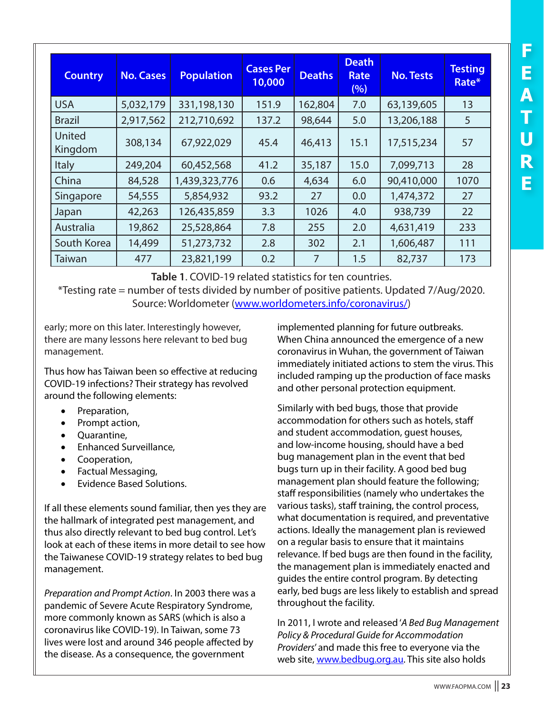| <b>Country</b>    | <b>No. Cases</b> | <b>Population</b> | <b>Cases Per</b><br>10,000 | <b>Deaths</b> | <b>Death</b><br><b>Rate</b><br>(%) | <b>No. Tests</b> | <b>Testing</b><br>Rate* |
|-------------------|------------------|-------------------|----------------------------|---------------|------------------------------------|------------------|-------------------------|
| <b>USA</b>        | 5,032,179        | 331,198,130       | 151.9                      | 162,804       | 7.0                                | 63,139,605       | 13                      |
| <b>Brazil</b>     | 2,917,562        | 212,710,692       | 137.2                      | 98,644        | 5.0                                | 13,206,188       | 5                       |
| United<br>Kingdom | 308,134          | 67,922,029        | 45.4                       | 46,413        | 15.1                               | 17,515,234       | 57                      |
| Italy             | 249,204          | 60,452,568        | 41.2                       | 35,187        | 15.0                               | 7,099,713        | 28                      |
| China             | 84,528           | 1,439,323,776     | 0.6                        | 4,634         | 6.0                                | 90,410,000       | 1070                    |
| Singapore         | 54,555           | 5,854,932         | 93.2                       | 27            | 0.0                                | 1,474,372        | 27                      |
| Japan             | 42,263           | 126,435,859       | 3.3                        | 1026          | 4.0                                | 938,739          | 22                      |
| Australia         | 19,862           | 25,528,864        | 7.8                        | 255           | 2.0                                | 4,631,419        | 233                     |
| South Korea       | 14,499           | 51,273,732        | 2.8                        | 302           | 2.1                                | 1,606,487        | 111                     |
| Taiwan            | 477              | 23,821,199        | 0.2                        | 7             | 1.5                                | 82,737           | 173                     |

**Table 1**. COVID-19 related statistics for ten countries.

\*Testing rate = number of tests divided by number of positive patients. Updated 7/Aug/2020. Source: Worldometer ([www.worldometers.info/coronavirus/\)](http://www.worldometers.info/coronavirus/)

early; more on this later. Interestingly however, there are many lessons here relevant to bed bug management.

Thus how has Taiwan been so effective at reducing COVID-19 infections? Their strategy has revolved around the following elements:

- Preparation,
- Prompt action,
- Ouarantine,
- **Enhanced Surveillance,**
- • Cooperation,
- • Factual Messaging,
- **Evidence Based Solutions.**

If all these elements sound familiar, then yes they are the hallmark of integrated pest management, and thus also directly relevant to bed bug control. Let's look at each of these items in more detail to see how the Taiwanese COVID-19 strategy relates to bed bug management.

*Preparation and Prompt Action*. In 2003 there was a pandemic of Severe Acute Respiratory Syndrome, more commonly known as SARS (which is also a coronavirus like COVID-19). In Taiwan, some 73 lives were lost and around 346 people affected by the disease. As a consequence, the government

implemented planning for future outbreaks. When China announced the emergence of a new coronavirus in Wuhan, the government of Taiwan immediately initiated actions to stem the virus. This included ramping up the production of face masks and other personal protection equipment.

Similarly with bed bugs, those that provide accommodation for others such as hotels, staff and student accommodation, guest houses, and low-income housing, should have a bed bug management plan in the event that bed bugs turn up in their facility. A good bed bug management plan should feature the following; staff responsibilities (namely who undertakes the various tasks), staff training, the control process, what documentation is required, and preventative actions. Ideally the management plan is reviewed on a regular basis to ensure that it maintains relevance. If bed bugs are then found in the facility, the management plan is immediately enacted and guides the entire control program. By detecting early, bed bugs are less likely to establish and spread throughout the facility.

In 2011, I wrote and released '*A Bed Bug Management Policy & Procedural Guide for Accommodation Providers*' and made this free to everyone via the web site, [www.bedbug.org.au](http://www.bedbug.org.au). This site also holds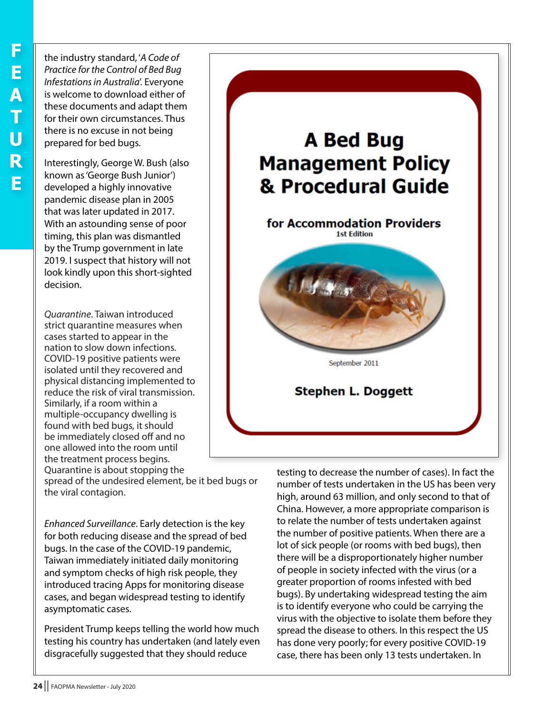the industry standard, '*A Code of Practice for the Control of Bed Bug Infestations in Australia*'. Everyone is welcome to download either of these documents and adapt them for their own circumstances. Thus there is no excuse in not being prepared for bed bugs.

Interestingly, George W. Bush (also known as 'George Bush Junior') developed a highly innovative pandemic disease plan in 2005 that was later updated in 2017. With an astounding sense of poor timing, this plan was dismantled by the Trump government in late 2019. I suspect that history will not look kindly upon this short-sighted decision.

*Quarantine*. Taiwan introduced strict quarantine measures when cases started to appear in the nation to slow down infections. COVID-19 positive patients were isolated until they recovered and physical distancing implemented to reduce the risk of viral transmission. Similarly, if a room within a multiple-occupancy dwelling is found with bed bugs, it should be immediately closed off and no one allowed into the room until the treatment process begins. Quarantine is about stopping the

spread of the undesired element, be it bed bugs or the viral contagion.

*Enhanced Surveillance*. Early detection is the key for both reducing disease and the spread of bed bugs. In the case of the COVID-19 pandemic, Taiwan immediately initiated daily monitoring and symptom checks of high risk people, they introduced tracing Apps for monitoring disease cases, and began widespread testing to identify asymptomatic cases.

President Trump keeps telling the world how much testing his country has undertaken (and lately even disgracefully suggested that they should reduce



testing to decrease the number of cases). In fact the number of tests undertaken in the US has been very high, around 63 million, and only second to that of China. However, a more appropriate comparison is to relate the number of tests undertaken against the number of positive patients. When there are a lot of sick people (or rooms with bed bugs), then there will be a disproportionately higher number of people in society infected with the virus (or a greater proportion of rooms infested with bed bugs). By undertaking widespread testing the aim is to identify everyone who could be carrying the virus with the objective to isolate them before they spread the disease to others. In this respect the US has done very poorly; for every positive COVID-19 case, there has been only 13 tests undertaken. In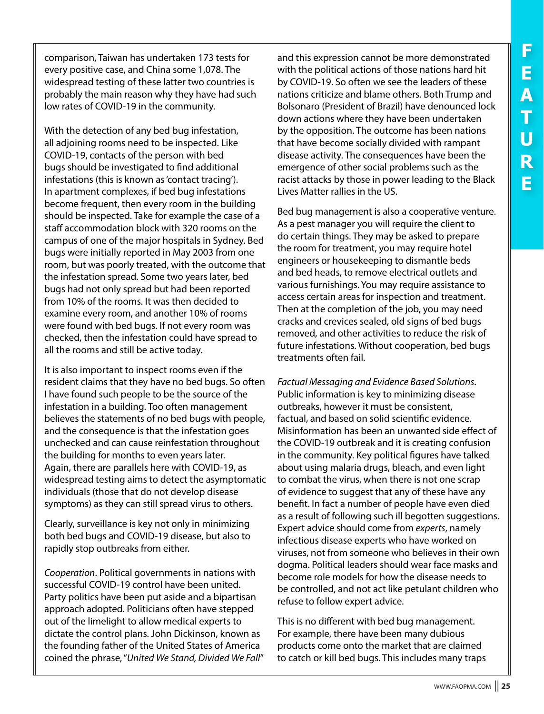comparison, Taiwan has undertaken 173 tests for every positive case, and China some 1,078. The widespread testing of these latter two countries is probably the main reason why they have had such low rates of COVID-19 in the community.

With the detection of any bed bug infestation, all adjoining rooms need to be inspected. Like COVID-19, contacts of the person with bed bugs should be investigated to find additional infestations (this is known as 'contact tracing'). In apartment complexes, if bed bug infestations become frequent, then every room in the building should be inspected. Take for example the case of a staff accommodation block with 320 rooms on the campus of one of the major hospitals in Sydney. Bed bugs were initially reported in May 2003 from one room, but was poorly treated, with the outcome that the infestation spread. Some two years later, bed bugs had not only spread but had been reported from 10% of the rooms. It was then decided to examine every room, and another 10% of rooms were found with bed bugs. If not every room was checked, then the infestation could have spread to all the rooms and still be active today.

It is also important to inspect rooms even if the resident claims that they have no bed bugs. So often I have found such people to be the source of the infestation in a building. Too often management believes the statements of no bed bugs with people, and the consequence is that the infestation goes unchecked and can cause reinfestation throughout the building for months to even years later. Again, there are parallels here with COVID-19, as widespread testing aims to detect the asymptomatic individuals (those that do not develop disease symptoms) as they can still spread virus to others.

Clearly, surveillance is key not only in minimizing both bed bugs and COVID-19 disease, but also to rapidly stop outbreaks from either.

*Cooperation*. Political governments in nations with successful COVID-19 control have been united. Party politics have been put aside and a bipartisan approach adopted. Politicians often have stepped out of the limelight to allow medical experts to dictate the control plans. John Dickinson, known as the founding father of the United States of America coined the phrase, "*United We Stand, Divided We Fall*" and this expression cannot be more demonstrated with the political actions of those nations hard hit by COVID-19. So often we see the leaders of these nations criticize and blame others. Both Trump and Bolsonaro (President of Brazil) have denounced lock down actions where they have been undertaken by the opposition. The outcome has been nations that have become socially divided with rampant disease activity. The consequences have been the emergence of other social problems such as the racist attacks by those in power leading to the Black Lives Matter rallies in the US.

Bed bug management is also a cooperative venture. As a pest manager you will require the client to do certain things. They may be asked to prepare the room for treatment, you may require hotel engineers or housekeeping to dismantle beds and bed heads, to remove electrical outlets and various furnishings. You may require assistance to access certain areas for inspection and treatment. Then at the completion of the job, you may need cracks and crevices sealed, old signs of bed bugs removed, and other activities to reduce the risk of future infestations. Without cooperation, bed bugs treatments often fail.

*Factual Messaging and Evidence Based Solutions*. Public information is key to minimizing disease outbreaks, however it must be consistent, factual, and based on solid scientific evidence. Misinformation has been an unwanted side effect of the COVID-19 outbreak and it is creating confusion in the community. Key political figures have talked about using malaria drugs, bleach, and even light to combat the virus, when there is not one scrap of evidence to suggest that any of these have any benefit. In fact a number of people have even died as a result of following such ill begotten suggestions. Expert advice should come from *experts*, namely infectious disease experts who have worked on viruses, not from someone who believes in their own dogma. Political leaders should wear face masks and become role models for how the disease needs to be controlled, and not act like petulant children who refuse to follow expert advice.

This is no different with bed bug management. For example, there have been many dubious products come onto the market that are claimed to catch or kill bed bugs. This includes many traps